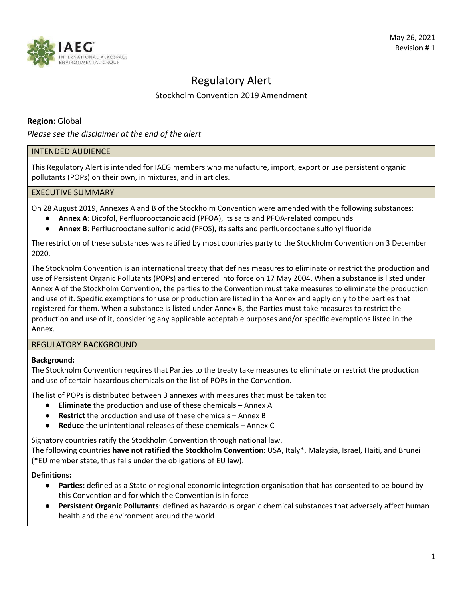

# Regulatory Alert

# Stockholm Convention 2019 Amendment

## **Region:** Global

*Please see the disclaimer at the end of the alert*

## INTENDED AUDIENCE

This Regulatory Alert is intended for IAEG members who manufacture, import, export or use persistent organic pollutants (POPs) on their own, in mixtures, and in articles.

## EXECUTIVE SUMMARY

On 28 August 2019, Annexes A and B of the Stockholm Convention were amended with the following substances:

- **Annex A**: Dicofol, Perfluorooctanoic acid (PFOA), its salts and PFOA‐related compounds
- **Annex B**: Perfluorooctane sulfonic acid (PFOS), its salts and perfluorooctane sulfonyl fluoride

The restriction of these substances was ratified by most countries party to the Stockholm Convention on 3 December 2020.

The Stockholm Convention is an international treaty that defines measures to eliminate or restrict the production and use of Persistent Organic Pollutants (POPs) and entered into force on 17 May 2004. When a substance is listed under Annex A of the Stockholm Convention, the parties to the Convention must take measures to eliminate the production and use of it. Specific exemptions for use or production are listed in the Annex and apply only to the parties that registered for them. When a substance is listed under Annex B, the Parties must take measures to restrict the production and use of it, considering any applicable acceptable purposes and/or specific exemptions listed in the Annex.

## REGULATORY BACKGROUND

## **Background:**

The Stockholm Convention requires that Parties to the treaty take measures to eliminate or restrict the production and use of certain hazardous chemicals on the list of POPs in the Convention.

The list of POPs is distributed between 3 annexes with measures that must be taken to:

- **Eliminate** the production and use of these chemicals Annex A
- **Restrict** the production and use of these chemicals Annex B
- **Reduce** the unintentional releases of these chemicals Annex C

Signatory countries ratify the Stockholm Convention through national law.

The following countries **have not ratified the Stockholm Convention**: USA, Italy\*, Malaysia, Israel, Haiti, and Brunei (\*EU member state, thus falls under the obligations of EU law).

**Definitions:**

- **Parties:** defined as a State or regional economic integration organisation that has consented to be bound by this Convention and for which the Convention is in force
- **Persistent Organic Pollutants**: defined as hazardous organic chemical substances that adversely affect human health and the environment around the world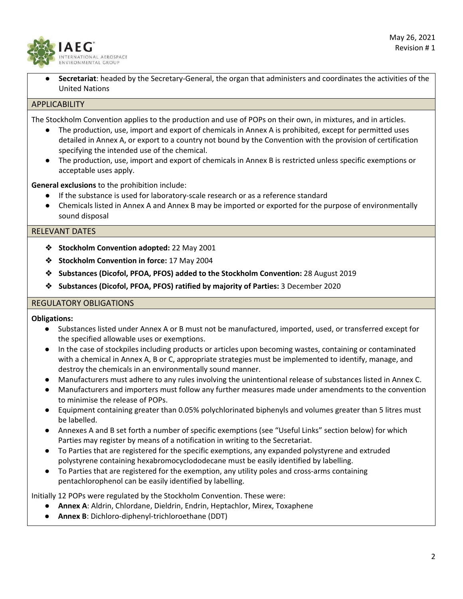

Secretariat: headed by the Secretary-General, the organ that administers and coordinates the activities of the United Nations

#### APPLICABILITY

The Stockholm Convention applies to the production and use of POPs on their own, in mixtures, and in articles.

- The production, use, import and export of chemicals in Annex A is prohibited, except for permitted uses detailed in Annex A, or export to a country not bound by the Convention with the provision of certification specifying the intended use of the chemical.
- The production, use, import and export of chemicals in Annex B is restricted unless specific exemptions or acceptable uses apply.

**General exclusions** to the prohibition include:

- If the substance is used for laboratory-scale research or as a reference standard
- Chemicals listed in Annex A and Annex B may be imported or exported for the purpose of environmentally sound disposal

#### RELEVANT DATES

- ❖ **Stockholm Convention adopted:** 22 May 2001
- ❖ **Stockholm Convention in force:** 17 May 2004
- ❖ **Substances (Dicofol, PFOA, PFOS) added to the Stockholm Convention:** 28 August 2019
- ❖ **Substances (Dicofol, PFOA, PFOS) ratified by majority of Parties:** 3 December 2020

#### REGULATORY OBLIGATIONS

**Obligations:**

- Substances listed under Annex A or B must not be manufactured, imported, used, or transferred except for the specified allowable uses or exemptions.
- In the case of stockpiles including products or articles upon becoming wastes, containing or contaminated with a chemical in Annex A, B or C, appropriate strategies must be implemented to identify, manage, and destroy the chemicals in an environmentally sound manner.
- Manufacturers must adhere to any rules involving the unintentional release of substances listed in Annex C.
- Manufacturers and importers must follow any further measures made under amendments to the convention to minimise the release of POPs.
- Equipment containing greater than 0.05% polychlorinated biphenyls and volumes greater than 5 litres must be labelled.
- Annexes A and B set forth a number of specific exemptions (see "Useful Links" section below) for which Parties may register by means of a notification in writing to the Secretariat.
- To Parties that are registered for the specific exemptions, any expanded polystyrene and extruded polystyrene containing hexabromocyclododecane must be easily identified by labelling.
- To Parties that are registered for the exemption, any utility poles and cross-arms containing pentachlorophenol can be easily identified by labelling.

Initially 12 POPs were regulated by the Stockholm Convention. These were:

- **Annex A**: Aldrin, Chlordane, Dieldrin, Endrin, Heptachlor, Mirex, Toxaphene
- **Annex B**: Dichloro‐diphenyl‐trichloroethane (DDT)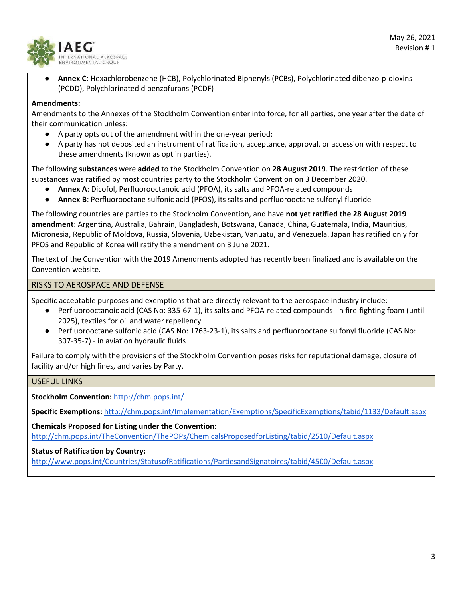

● **Annex C**: Hexachlorobenzene (HCB), Polychlorinated Biphenyls (PCBs), Polychlorinated dibenzo‐p‐dioxins (PCDD), Polychlorinated dibenzofurans (PCDF)

### **Amendments:**

Amendments to the Annexes of the Stockholm Convention enter into force, for all parties, one year after the date of their communication unless:

- A party opts out of the amendment within the one-year period;
- A party has not deposited an instrument of ratification, acceptance, approval, or accession with respect to these amendments (known as opt in parties).

The following **substances** were **added** to the Stockholm Convention on **28 August 2019**. The restriction of these substances was ratified by most countries party to the Stockholm Convention on 3 December 2020.

- **Annex A**: Dicofol, Perfluorooctanoic acid (PFOA), its salts and PFOA‐related compounds
- **Annex B**: Perfluorooctane sulfonic acid (PFOS), its salts and perfluorooctane sulfonyl fluoride

The following countries are parties to the Stockholm Convention, and have **not yet ratified the 28 August 2019 amendment**: Argentina, Australia, Bahrain, Bangladesh, Botswana, Canada, China, Guatemala, India, Mauritius, Micronesia, Republic of Moldova, Russia, Slovenia, Uzbekistan, Vanuatu, and Venezuela. Japan has ratified only for PFOS and Republic of Korea will ratify the amendment on 3 June 2021.

The text of the Convention with the 2019 Amendments adopted has recently been finalized and is available on the Convention website.

#### RISKS TO AEROSPACE AND DEFENSE

Specific acceptable purposes and exemptions that are directly relevant to the aerospace industry include:

- Perfluorooctanoic acid (CAS No: 335-67-1), its salts and PFOA-related compounds- in fire-fighting foam (until 2025), textiles for oil and water repellency
- Perfluorooctane sulfonic acid (CAS No: 1763-23-1), its salts and perfluorooctane sulfonyl fluoride (CAS No: 307‐35‐7) ‐ in aviation hydraulic fluids

Failure to comply with the provisions of the Stockholm Convention poses risks for reputational damage, closure of facility and/or high fines, and varies by Party.

#### USEFUL LINKS

**Stockholm Convention:** http://chm.pops.int/

**Specific Exemptions:** http://chm.pops.int/Implementation/Exemptions/SpecificExemptions/tabid/1133/Default.aspx

**Chemicals Proposed for Listing under the Convention:** http://chm.pops.int/TheConvention/ThePOPs/ChemicalsProposedforListing/tabid/2510/Default.aspx

#### **Status of Ratification by Country:**

http://www.pops.int/Countries/StatusofRatifications/PartiesandSignatoires/tabid/4500/Default.aspx